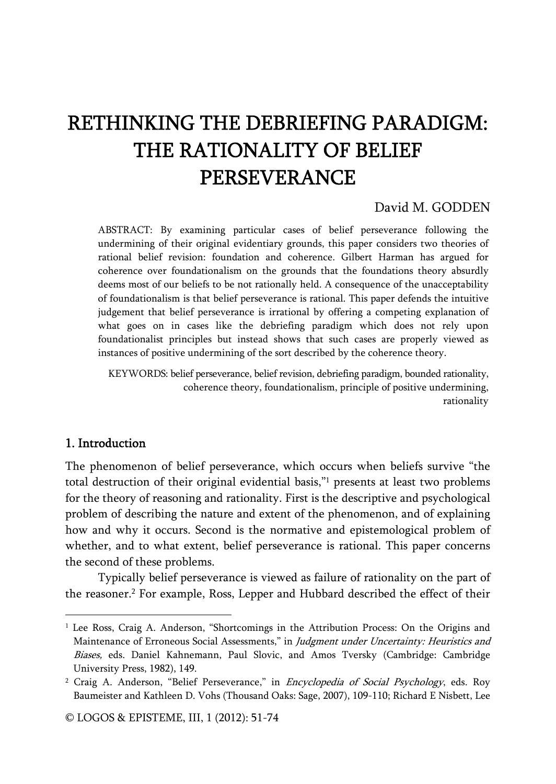# RETHINKING THE DEBRIEFING PARADIGM: THE RATIONALITY OF BELIEF PERSEVERANCE

# David M. GODDEN

ABSTRACT: By examining particular cases of belief perseverance following the undermining of their original evidentiary grounds, this paper considers two theories of rational belief revision: foundation and coherence. Gilbert Harman has argued for coherence over foundationalism on the grounds that the foundations theory absurdly deems most of our beliefs to be not rationally held. A consequence of the unacceptability of foundationalism is that belief perseverance is rational. This paper defends the intuitive judgement that belief perseverance is irrational by offering a competing explanation of what goes on in cases like the debriefing paradigm which does not rely upon foundationalist principles but instead shows that such cases are properly viewed as instances of positive undermining of the sort described by the coherence theory.

KEYWORDS: belief perseverance, belief revision, debriefing paradigm, bounded rationality, coherence theory, foundationalism, principle of positive undermining, rationality

## 1. Introduction

j

The phenomenon of belief perseverance, which occurs when beliefs survive "the total destruction of their original evidential basis,"1 presents at least two problems for the theory of reasoning and rationality. First is the descriptive and psychological problem of describing the nature and extent of the phenomenon, and of explaining how and why it occurs. Second is the normative and epistemological problem of whether, and to what extent, belief perseverance is rational. This paper concerns the second of these problems.

Typically belief perseverance is viewed as failure of rationality on the part of the reasoner.2 For example, Ross, Lepper and Hubbard described the effect of their

<sup>&</sup>lt;sup>1</sup> Lee Ross, Craig A. Anderson, "Shortcomings in the Attribution Process: On the Origins and Maintenance of Erroneous Social Assessments," in Judgment under Uncertainty: Heuristics and Biases, eds. Daniel Kahnemann, Paul Slovic, and Amos Tversky (Cambridge: Cambridge University Press, 1982), 149.

<sup>&</sup>lt;sup>2</sup> Craig A. Anderson, "Belief Perseverance," in *Encyclopedia of Social Psychology*, eds. Roy Baumeister and Kathleen D. Vohs (Thousand Oaks: Sage, 2007), 109-110; Richard E Nisbett, Lee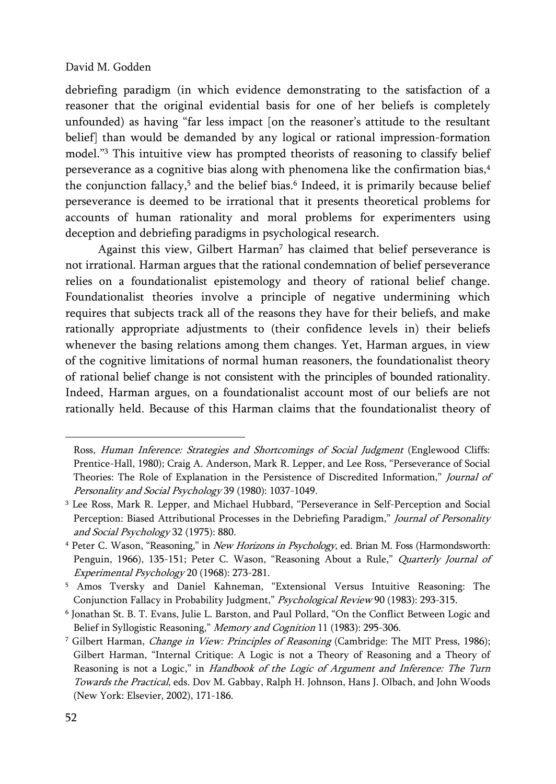debriefing paradigm (in which evidence demonstrating to the satisfaction of a reasoner that the original evidential basis for one of her beliefs is completely unfounded) as having "far less impact [on the reasoner's attitude to the resultant belief] than would be demanded by any logical or rational impression-formation model."3 This intuitive view has prompted theorists of reasoning to classify belief perseverance as a cognitive bias along with phenomena like the confirmation bias,4 the conjunction fallacy, $5$  and the belief bias. $6$  Indeed, it is primarily because belief perseverance is deemed to be irrational that it presents theoretical problems for accounts of human rationality and moral problems for experimenters using deception and debriefing paradigms in psychological research.

Against this view, Gilbert Harman<sup>7</sup> has claimed that belief perseverance is not irrational. Harman argues that the rational condemnation of belief perseverance relies on a foundationalist epistemology and theory of rational belief change. Foundationalist theories involve a principle of negative undermining which requires that subjects track all of the reasons they have for their beliefs, and make rationally appropriate adjustments to (their confidence levels in) their beliefs whenever the basing relations among them changes. Yet, Harman argues, in view of the cognitive limitations of normal human reasoners, the foundationalist theory of rational belief change is not consistent with the principles of bounded rationality. Indeed, Harman argues, on a foundationalist account most of our beliefs are not rationally held. Because of this Harman claims that the foundationalist theory of

Ross, Human Inference: Strategies and Shortcomings of Social Judgment (Englewood Cliffs: Prentice-Hall, 1980); Craig A. Anderson, Mark R. Lepper, and Lee Ross, "Perseverance of Social Theories: The Role of Explanation in the Persistence of Discredited Information," Journal of Personality and Social Psychology 39 (1980): 1037-1049.

<sup>3</sup> Lee Ross, Mark R. Lepper, and Michael Hubbard, "Perseverance in Self-Perception and Social Perception: Biased Attributional Processes in the Debriefing Paradigm," Journal of Personality and Social Psychology 32 (1975): 880.

<sup>&</sup>lt;sup>4</sup> Peter C. Wason, "Reasoning," in *New Horizons in Psychology*, ed. Brian M. Foss (Harmondsworth: Penguin, 1966), 135-151; Peter C. Wason, "Reasoning About a Rule," Quarterly Journal of Experimental Psychology 20 (1968): 273-281.

<sup>5</sup> Amos Tversky and Daniel Kahneman, "Extensional Versus Intuitive Reasoning: The Conjunction Fallacy in Probability Judgment," Psychological Review 90 (1983): 293-315.

<sup>6</sup> Jonathan St. B. T. Evans, Julie L. Barston, and Paul Pollard, "On the Conflict Between Logic and Belief in Syllogistic Reasoning," Memory and Cognition 11 (1983): 295-306.

<sup>&</sup>lt;sup>7</sup> Gilbert Harman, *Change in View: Principles of Reasoning* (Cambridge: The MIT Press, 1986); Gilbert Harman, "Internal Critique: A Logic is not a Theory of Reasoning and a Theory of Reasoning is not a Logic," in Handbook of the Logic of Argument and Inference: The Turn Towards the Practical, eds. Dov M. Gabbay, Ralph H. Johnson, Hans J. Olbach, and John Woods (New York: Elsevier, 2002), 171-186.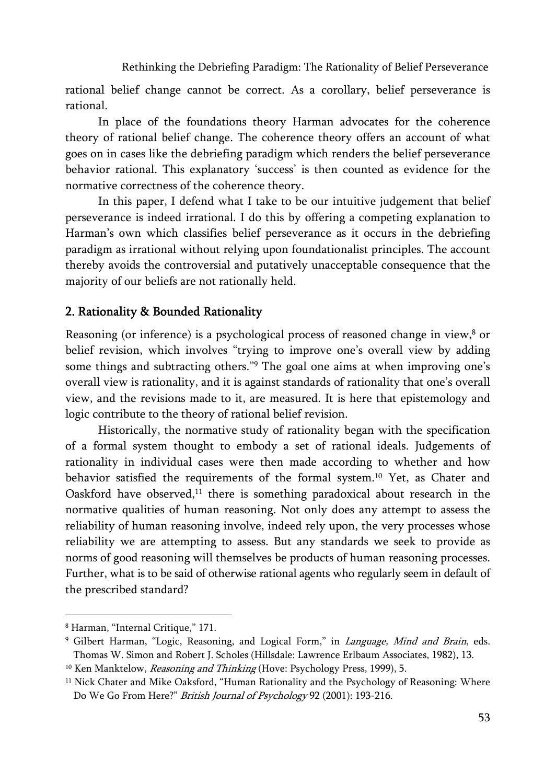rational belief change cannot be correct. As a corollary, belief perseverance is rational.

In place of the foundations theory Harman advocates for the coherence theory of rational belief change. The coherence theory offers an account of what goes on in cases like the debriefing paradigm which renders the belief perseverance behavior rational. This explanatory 'success' is then counted as evidence for the normative correctness of the coherence theory.

In this paper, I defend what I take to be our intuitive judgement that belief perseverance is indeed irrational. I do this by offering a competing explanation to Harman's own which classifies belief perseverance as it occurs in the debriefing paradigm as irrational without relying upon foundationalist principles. The account thereby avoids the controversial and putatively unacceptable consequence that the majority of our beliefs are not rationally held.

# 2. Rationality & Bounded Rationality

Reasoning (or inference) is a psychological process of reasoned change in view,<sup>8</sup> or belief revision, which involves "trying to improve one's overall view by adding some things and subtracting others."<sup>9</sup> The goal one aims at when improving one's overall view is rationality, and it is against standards of rationality that one's overall view, and the revisions made to it, are measured. It is here that epistemology and logic contribute to the theory of rational belief revision.

Historically, the normative study of rationality began with the specification of a formal system thought to embody a set of rational ideals. Judgements of rationality in individual cases were then made according to whether and how behavior satisfied the requirements of the formal system.10 Yet, as Chater and Oaskford have observed, $11$  there is something paradoxical about research in the normative qualities of human reasoning. Not only does any attempt to assess the reliability of human reasoning involve, indeed rely upon, the very processes whose reliability we are attempting to assess. But any standards we seek to provide as norms of good reasoning will themselves be products of human reasoning processes. Further, what is to be said of otherwise rational agents who regularly seem in default of the prescribed standard?

<sup>8</sup> Harman, "Internal Critique," 171.

<sup>&</sup>lt;sup>9</sup> Gilbert Harman, "Logic, Reasoning, and Logical Form," in *Language, Mind and Brain*, eds. Thomas W. Simon and Robert J. Scholes (Hillsdale: Lawrence Erlbaum Associates, 1982), 13.

<sup>&</sup>lt;sup>10</sup> Ken Manktelow, *Reasoning and Thinking* (Hove: Psychology Press, 1999), 5.

<sup>&</sup>lt;sup>11</sup> Nick Chater and Mike Oaksford, "Human Rationality and the Psychology of Reasoning: Where Do We Go From Here?" British Journal of Psychology 92 (2001): 193-216.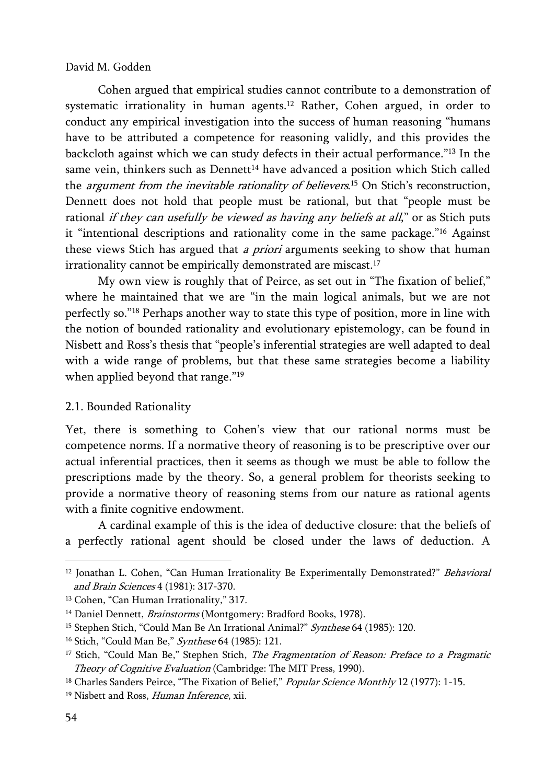Cohen argued that empirical studies cannot contribute to a demonstration of systematic irrationality in human agents.<sup>12</sup> Rather, Cohen argued, in order to conduct any empirical investigation into the success of human reasoning "humans have to be attributed a competence for reasoning validly, and this provides the backcloth against which we can study defects in their actual performance."13 In the same vein, thinkers such as Dennett<sup>14</sup> have advanced a position which Stich called the *argument from the inevitable rationality of believers*.<sup>15</sup> On Stich's reconstruction, Dennett does not hold that people must be rational, but that "people must be rational if they can usefully be viewed as having any beliefs at all," or as Stich puts it "intentional descriptions and rationality come in the same package."16 Against these views Stich has argued that *a priori* arguments seeking to show that human irrationality cannot be empirically demonstrated are miscast.<sup>17</sup>

My own view is roughly that of Peirce, as set out in "The fixation of belief," where he maintained that we are "in the main logical animals, but we are not perfectly so."18 Perhaps another way to state this type of position, more in line with the notion of bounded rationality and evolutionary epistemology, can be found in Nisbett and Ross's thesis that "people's inferential strategies are well adapted to deal with a wide range of problems, but that these same strategies become a liability when applied beyond that range."<sup>19</sup>

#### 2.1. Bounded Rationality

Yet, there is something to Cohen's view that our rational norms must be competence norms. If a normative theory of reasoning is to be prescriptive over our actual inferential practices, then it seems as though we must be able to follow the prescriptions made by the theory. So, a general problem for theorists seeking to provide a normative theory of reasoning stems from our nature as rational agents with a finite cognitive endowment.

A cardinal example of this is the idea of deductive closure: that the beliefs of a perfectly rational agent should be closed under the laws of deduction. A

<sup>&</sup>lt;sup>12</sup> Jonathan L. Cohen, "Can Human Irrationality Be Experimentally Demonstrated?" Behavioral and Brain Sciences 4 (1981): 317-370.

<sup>&</sup>lt;sup>13</sup> Cohen, "Can Human Irrationality," 317.

<sup>&</sup>lt;sup>14</sup> Daniel Dennett, *Brainstorms* (Montgomery: Bradford Books, 1978).

<sup>&</sup>lt;sup>15</sup> Stephen Stich, "Could Man Be An Irrational Animal?" Synthese 64 (1985): 120.

<sup>&</sup>lt;sup>16</sup> Stich, "Could Man Be," Synthese 64 (1985): 121.

<sup>&</sup>lt;sup>17</sup> Stich, "Could Man Be," Stephen Stich, *The Fragmentation of Reason: Preface to a Pragmatic* Theory of Cognitive Evaluation (Cambridge: The MIT Press, 1990).

<sup>&</sup>lt;sup>18</sup> Charles Sanders Peirce, "The Fixation of Belief," Popular Science Monthly 12 (1977): 1-15.

<sup>&</sup>lt;sup>19</sup> Nisbett and Ross, Human Inference, xii.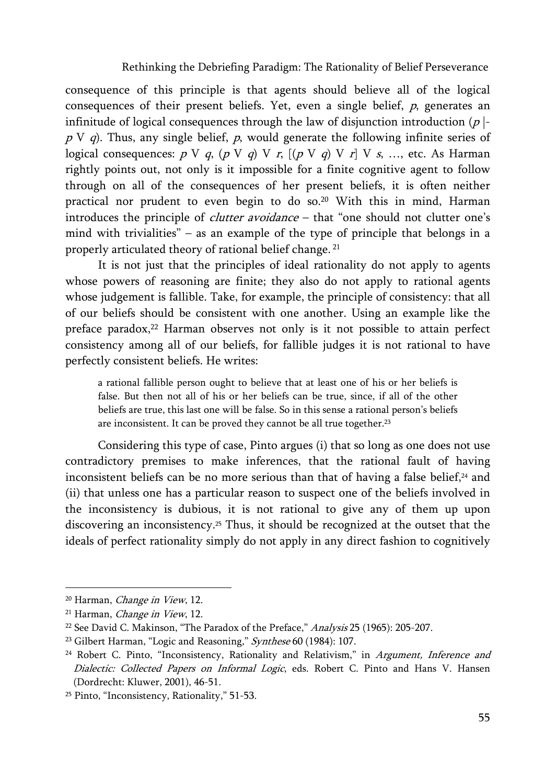consequence of this principle is that agents should believe all of the logical consequences of their present beliefs. Yet, even a single belief,  $p$ , generates an infinitude of logical consequences through the law of disjunction introduction  $(p \mid \cdot)$  $p \vee q$ ). Thus, any single belief, p, would generate the following infinite series of logical consequences:  $p \vee q$ ,  $(p \vee q) \vee r$ ,  $(p \vee q) \vee r \vee s$ , ..., etc. As Harman rightly points out, not only is it impossible for a finite cognitive agent to follow through on all of the consequences of her present beliefs, it is often neither practical nor prudent to even begin to do so.20 With this in mind, Harman introduces the principle of *clutter avoidance* – that "one should not clutter one's mind with trivialities" – as an example of the type of principle that belongs in a properly articulated theory of rational belief change. 21

It is not just that the principles of ideal rationality do not apply to agents whose powers of reasoning are finite; they also do not apply to rational agents whose judgement is fallible. Take, for example, the principle of consistency: that all of our beliefs should be consistent with one another. Using an example like the preface paradox, $22$  Harman observes not only is it not possible to attain perfect consistency among all of our beliefs, for fallible judges it is not rational to have perfectly consistent beliefs. He writes:

a rational fallible person ought to believe that at least one of his or her beliefs is false. But then not all of his or her beliefs can be true, since, if all of the other beliefs are true, this last one will be false. So in this sense a rational person's beliefs are inconsistent. It can be proved they cannot be all true together.<sup>23</sup>

Considering this type of case, Pinto argues (i) that so long as one does not use contradictory premises to make inferences, that the rational fault of having inconsistent beliefs can be no more serious than that of having a false belief, $24$  and (ii) that unless one has a particular reason to suspect one of the beliefs involved in the inconsistency is dubious, it is not rational to give any of them up upon discovering an inconsistency.25 Thus, it should be recognized at the outset that the ideals of perfect rationality simply do not apply in any direct fashion to cognitively

<sup>&</sup>lt;sup>20</sup> Harman, *Change in View*, 12.

<sup>&</sup>lt;sup>21</sup> Harman, *Change in View*, 12.

<sup>&</sup>lt;sup>22</sup> See David C. Makinson, "The Paradox of the Preface," Analysis 25 (1965): 205-207.

<sup>&</sup>lt;sup>23</sup> Gilbert Harman, "Logic and Reasoning," Synthese 60 (1984): 107.

<sup>&</sup>lt;sup>24</sup> Robert C. Pinto, "Inconsistency, Rationality and Relativism," in Argument, Inference and Dialectic: Collected Papers on Informal Logic, eds. Robert C. Pinto and Hans V. Hansen (Dordrecht: Kluwer, 2001), 46-51.

<sup>25</sup> Pinto, "Inconsistency, Rationality," 51-53.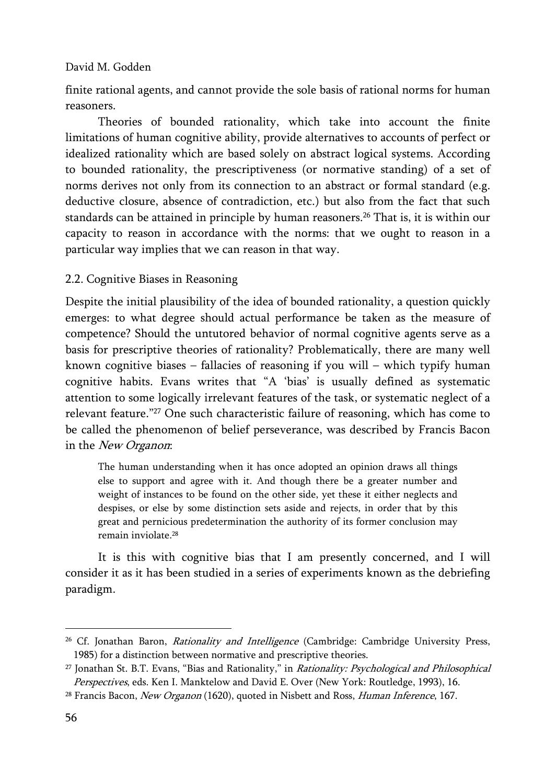finite rational agents, and cannot provide the sole basis of rational norms for human reasoners.

Theories of bounded rationality, which take into account the finite limitations of human cognitive ability, provide alternatives to accounts of perfect or idealized rationality which are based solely on abstract logical systems. According to bounded rationality, the prescriptiveness (or normative standing) of a set of norms derives not only from its connection to an abstract or formal standard (e.g. deductive closure, absence of contradiction, etc.) but also from the fact that such standards can be attained in principle by human reasoners.26 That is, it is within our capacity to reason in accordance with the norms: that we ought to reason in a particular way implies that we can reason in that way.

## 2.2. Cognitive Biases in Reasoning

Despite the initial plausibility of the idea of bounded rationality, a question quickly emerges: to what degree should actual performance be taken as the measure of competence? Should the untutored behavior of normal cognitive agents serve as a basis for prescriptive theories of rationality? Problematically, there are many well known cognitive biases – fallacies of reasoning if you will – which typify human cognitive habits. Evans writes that "A 'bias' is usually defined as systematic attention to some logically irrelevant features of the task, or systematic neglect of a relevant feature."27 One such characteristic failure of reasoning, which has come to be called the phenomenon of belief perseverance, was described by Francis Bacon in the New Organon:

The human understanding when it has once adopted an opinion draws all things else to support and agree with it. And though there be a greater number and weight of instances to be found on the other side, yet these it either neglects and despises, or else by some distinction sets aside and rejects, in order that by this great and pernicious predetermination the authority of its former conclusion may remain inviolate.28

It is this with cognitive bias that I am presently concerned, and I will consider it as it has been studied in a series of experiments known as the debriefing paradigm.

<sup>&</sup>lt;sup>26</sup> Cf. Jonathan Baron, Rationality and Intelligence (Cambridge: Cambridge University Press, 1985) for a distinction between normative and prescriptive theories.

<sup>&</sup>lt;sup>27</sup> Jonathan St. B.T. Evans, "Bias and Rationality," in *Rationality: Psychological and Philosophical* Perspectives, eds. Ken I. Manktelow and David E. Over (New York: Routledge, 1993), 16.

<sup>&</sup>lt;sup>28</sup> Francis Bacon, New Organon (1620), quoted in Nisbett and Ross, Human Inference, 167.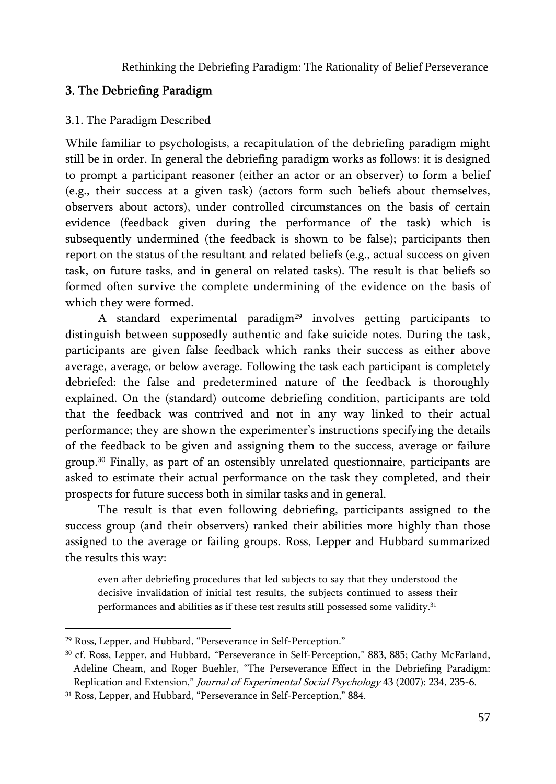# 3. The Debriefing Paradigm

## 3.1. The Paradigm Described

While familiar to psychologists, a recapitulation of the debriefing paradigm might still be in order. In general the debriefing paradigm works as follows: it is designed to prompt a participant reasoner (either an actor or an observer) to form a belief (e.g., their success at a given task) (actors form such beliefs about themselves, observers about actors), under controlled circumstances on the basis of certain evidence (feedback given during the performance of the task) which is subsequently undermined (the feedback is shown to be false); participants then report on the status of the resultant and related beliefs (e.g., actual success on given task, on future tasks, and in general on related tasks). The result is that beliefs so formed often survive the complete undermining of the evidence on the basis of which they were formed.

A standard experimental paradigm<sup>29</sup> involves getting participants to distinguish between supposedly authentic and fake suicide notes. During the task, participants are given false feedback which ranks their success as either above average, average, or below average. Following the task each participant is completely debriefed: the false and predetermined nature of the feedback is thoroughly explained. On the (standard) outcome debriefing condition, participants are told that the feedback was contrived and not in any way linked to their actual performance; they are shown the experimenter's instructions specifying the details of the feedback to be given and assigning them to the success, average or failure group.30 Finally, as part of an ostensibly unrelated questionnaire, participants are asked to estimate their actual performance on the task they completed, and their prospects for future success both in similar tasks and in general.

The result is that even following debriefing, participants assigned to the success group (and their observers) ranked their abilities more highly than those assigned to the average or failing groups. Ross, Lepper and Hubbard summarized the results this way:

even after debriefing procedures that led subjects to say that they understood the decisive invalidation of initial test results, the subjects continued to assess their performances and abilities as if these test results still possessed some validity.<sup>31</sup>

<sup>29</sup> Ross, Lepper, and Hubbard, "Perseverance in Self-Perception."

<sup>30</sup> cf. Ross, Lepper, and Hubbard, "Perseverance in Self-Perception," 883, 885; Cathy McFarland, Adeline Cheam, and Roger Buehler, "The Perseverance Effect in the Debriefing Paradigm: Replication and Extension," Journal of Experimental Social Psychology 43 (2007): 234, 235-6.

<sup>31</sup> Ross, Lepper, and Hubbard, "Perseverance in Self-Perception," 884.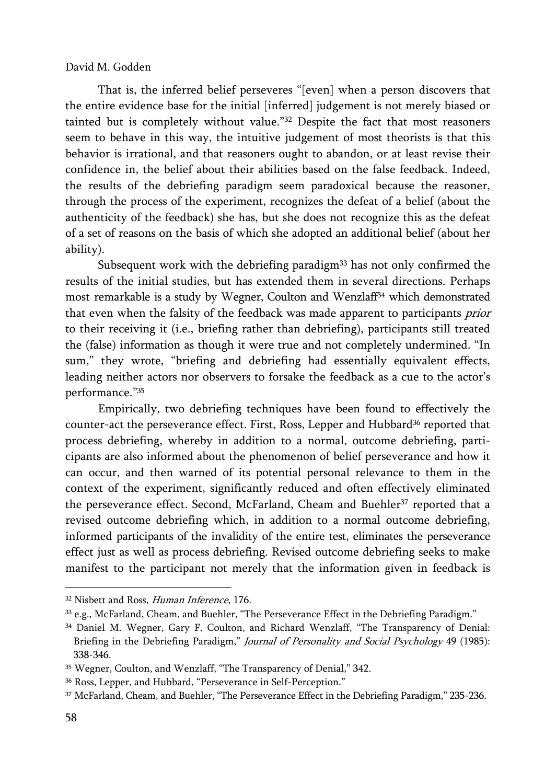That is, the inferred belief perseveres "[even] when a person discovers that the entire evidence base for the initial [inferred] judgement is not merely biased or tainted but is completely without value."32 Despite the fact that most reasoners seem to behave in this way, the intuitive judgement of most theorists is that this behavior is irrational, and that reasoners ought to abandon, or at least revise their confidence in, the belief about their abilities based on the false feedback. Indeed, the results of the debriefing paradigm seem paradoxical because the reasoner, through the process of the experiment, recognizes the defeat of a belief (about the authenticity of the feedback) she has, but she does not recognize this as the defeat of a set of reasons on the basis of which she adopted an additional belief (about her ability).

Subsequent work with the debriefing paradigm<sup>33</sup> has not only confirmed the results of the initial studies, but has extended them in several directions. Perhaps most remarkable is a study by Wegner, Coulton and Wenzlaff34 which demonstrated that even when the falsity of the feedback was made apparent to participants prior to their receiving it (i.e., briefing rather than debriefing), participants still treated the (false) information as though it were true and not completely undermined. "In sum," they wrote, "briefing and debriefing had essentially equivalent effects, leading neither actors nor observers to forsake the feedback as a cue to the actor's performance."35

Empirically, two debriefing techniques have been found to effectively the counter-act the perseverance effect. First, Ross, Lepper and Hubbard<sup>36</sup> reported that process debriefing, whereby in addition to a normal, outcome debriefing, participants are also informed about the phenomenon of belief perseverance and how it can occur, and then warned of its potential personal relevance to them in the context of the experiment, significantly reduced and often effectively eliminated the perseverance effect. Second, McFarland, Cheam and Buehler<sup>37</sup> reported that a revised outcome debriefing which, in addition to a normal outcome debriefing, informed participants of the invalidity of the entire test, eliminates the perseverance effect just as well as process debriefing. Revised outcome debriefing seeks to make manifest to the participant not merely that the information given in feedback is

<sup>&</sup>lt;sup>32</sup> Nisbett and Ross, Human Inference, 176.

<sup>33</sup> e.g., McFarland, Cheam, and Buehler, "The Perseverance Effect in the Debriefing Paradigm."

<sup>34</sup> Daniel M. Wegner, Gary F. Coulton, and Richard Wenzlaff, "The Transparency of Denial: Briefing in the Debriefing Paradigm," Journal of Personality and Social Psychology 49 (1985): 338-346.

<sup>35</sup> Wegner, Coulton, and Wenzlaff, "The Transparency of Denial," 342.

<sup>36</sup> Ross, Lepper, and Hubbard, "Perseverance in Self-Perception."

<sup>37</sup> McFarland, Cheam, and Buehler, "The Perseverance Effect in the Debriefing Paradigm," 235-236.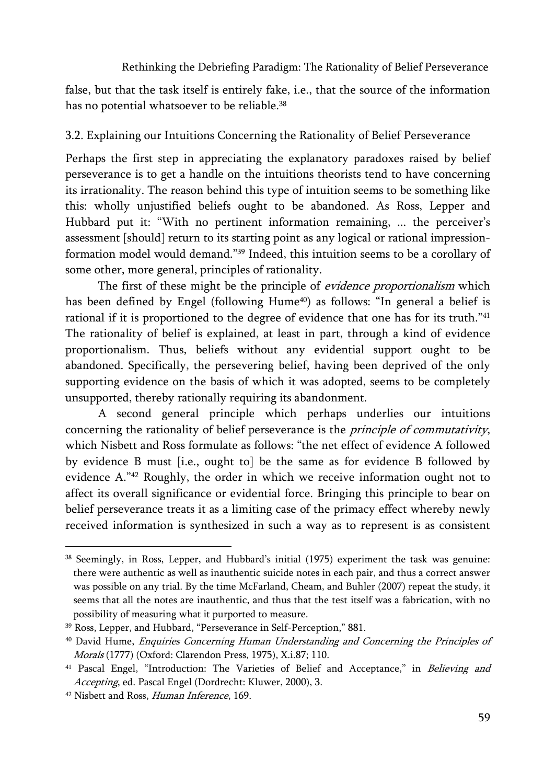false, but that the task itself is entirely fake, i.e., that the source of the information has no potential whatsoever to be reliable.<sup>38</sup>

# 3.2. Explaining our Intuitions Concerning the Rationality of Belief Perseverance

Perhaps the first step in appreciating the explanatory paradoxes raised by belief perseverance is to get a handle on the intuitions theorists tend to have concerning its irrationality. The reason behind this type of intuition seems to be something like this: wholly unjustified beliefs ought to be abandoned. As Ross, Lepper and Hubbard put it: "With no pertinent information remaining, ... the perceiver's assessment [should] return to its starting point as any logical or rational impressionformation model would demand."39 Indeed, this intuition seems to be a corollary of some other, more general, principles of rationality.

The first of these might be the principle of *evidence proportionalism* which has been defined by Engel (following Hume<sup>40</sup>) as follows: "In general a belief is rational if it is proportioned to the degree of evidence that one has for its truth."<sup>41</sup> The rationality of belief is explained, at least in part, through a kind of evidence proportionalism. Thus, beliefs without any evidential support ought to be abandoned. Specifically, the persevering belief, having been deprived of the only supporting evidence on the basis of which it was adopted, seems to be completely unsupported, thereby rationally requiring its abandonment.

A second general principle which perhaps underlies our intuitions concerning the rationality of belief perseverance is the principle of commutativity, which Nisbett and Ross formulate as follows: "the net effect of evidence A followed by evidence B must [i.e., ought to] be the same as for evidence B followed by evidence A."42 Roughly, the order in which we receive information ought not to affect its overall significance or evidential force. Bringing this principle to bear on belief perseverance treats it as a limiting case of the primacy effect whereby newly received information is synthesized in such a way as to represent is as consistent

<sup>38</sup> Seemingly, in Ross, Lepper, and Hubbard's initial (1975) experiment the task was genuine: there were authentic as well as inauthentic suicide notes in each pair, and thus a correct answer was possible on any trial. By the time McFarland, Cheam, and Buhler (2007) repeat the study, it seems that all the notes are inauthentic, and thus that the test itself was a fabrication, with no possibility of measuring what it purported to measure.

<sup>39</sup> Ross, Lepper, and Hubbard, "Perseverance in Self-Perception," 881.

<sup>&</sup>lt;sup>40</sup> David Hume, *Enquiries Concerning Human Understanding and Concerning the Principles of* Morals (1777) (Oxford: Clarendon Press, 1975), X.i.87; 110.

<sup>&</sup>lt;sup>41</sup> Pascal Engel, "Introduction: The Varieties of Belief and Acceptance," in Believing and Accepting, ed. Pascal Engel (Dordrecht: Kluwer, 2000), 3.

<sup>&</sup>lt;sup>42</sup> Nisbett and Ross, Human Inference, 169.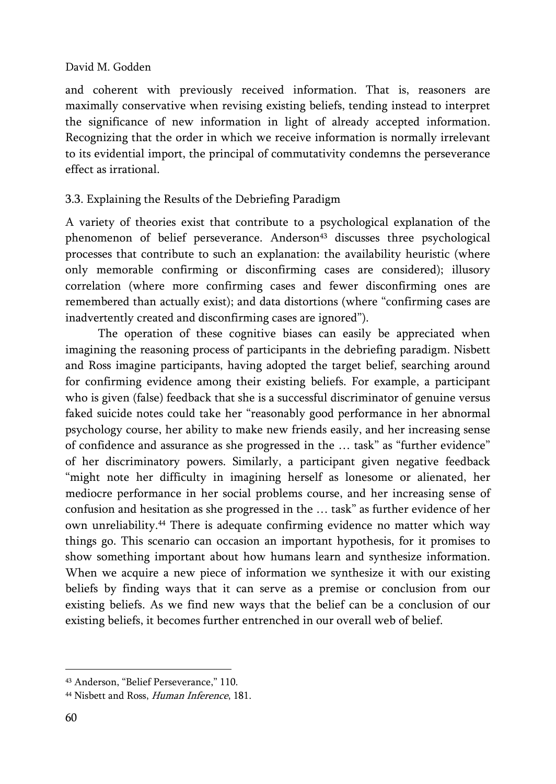and coherent with previously received information. That is, reasoners are maximally conservative when revising existing beliefs, tending instead to interpret the significance of new information in light of already accepted information. Recognizing that the order in which we receive information is normally irrelevant to its evidential import, the principal of commutativity condemns the perseverance effect as irrational.

# 3.3. Explaining the Results of the Debriefing Paradigm

A variety of theories exist that contribute to a psychological explanation of the phenomenon of belief perseverance. Anderson<sup>43</sup> discusses three psychological processes that contribute to such an explanation: the availability heuristic (where only memorable confirming or disconfirming cases are considered); illusory correlation (where more confirming cases and fewer disconfirming ones are remembered than actually exist); and data distortions (where "confirming cases are inadvertently created and disconfirming cases are ignored").

The operation of these cognitive biases can easily be appreciated when imagining the reasoning process of participants in the debriefing paradigm. Nisbett and Ross imagine participants, having adopted the target belief, searching around for confirming evidence among their existing beliefs. For example, a participant who is given (false) feedback that she is a successful discriminator of genuine versus faked suicide notes could take her "reasonably good performance in her abnormal psychology course, her ability to make new friends easily, and her increasing sense of confidence and assurance as she progressed in the … task" as "further evidence" of her discriminatory powers. Similarly, a participant given negative feedback "might note her difficulty in imagining herself as lonesome or alienated, her mediocre performance in her social problems course, and her increasing sense of confusion and hesitation as she progressed in the … task" as further evidence of her own unreliability.44 There is adequate confirming evidence no matter which way things go. This scenario can occasion an important hypothesis, for it promises to show something important about how humans learn and synthesize information. When we acquire a new piece of information we synthesize it with our existing beliefs by finding ways that it can serve as a premise or conclusion from our existing beliefs. As we find new ways that the belief can be a conclusion of our existing beliefs, it becomes further entrenched in our overall web of belief.

<sup>43</sup> Anderson, "Belief Perseverance," 110.

<sup>44</sup> Nisbett and Ross, Human Inference, 181.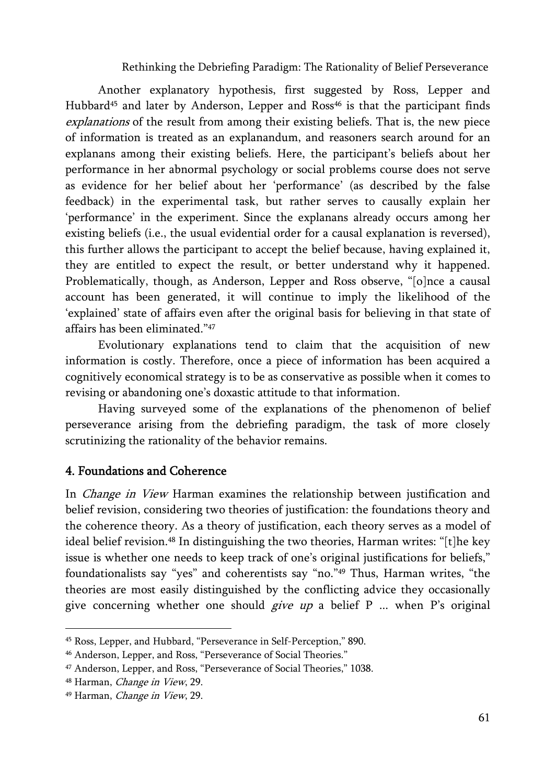Another explanatory hypothesis, first suggested by Ross, Lepper and Hubbard<sup>45</sup> and later by Anderson, Lepper and Ross<sup>46</sup> is that the participant finds explanations of the result from among their existing beliefs. That is, the new piece of information is treated as an explanandum, and reasoners search around for an explanans among their existing beliefs. Here, the participant's beliefs about her performance in her abnormal psychology or social problems course does not serve as evidence for her belief about her 'performance' (as described by the false feedback) in the experimental task, but rather serves to causally explain her 'performance' in the experiment. Since the explanans already occurs among her existing beliefs (i.e., the usual evidential order for a causal explanation is reversed), this further allows the participant to accept the belief because, having explained it, they are entitled to expect the result, or better understand why it happened. Problematically, though, as Anderson, Lepper and Ross observe, "[o]nce a causal account has been generated, it will continue to imply the likelihood of the 'explained' state of affairs even after the original basis for believing in that state of affairs has been eliminated."47

Evolutionary explanations tend to claim that the acquisition of new information is costly. Therefore, once a piece of information has been acquired a cognitively economical strategy is to be as conservative as possible when it comes to revising or abandoning one's doxastic attitude to that information.

Having surveyed some of the explanations of the phenomenon of belief perseverance arising from the debriefing paradigm, the task of more closely scrutinizing the rationality of the behavior remains.

#### 4. Foundations and Coherence

In *Change in View* Harman examines the relationship between justification and belief revision, considering two theories of justification: the foundations theory and the coherence theory. As a theory of justification, each theory serves as a model of ideal belief revision.<sup>48</sup> In distinguishing the two theories, Harman writes: "[t]he key issue is whether one needs to keep track of one's original justifications for beliefs," foundationalists say "yes" and coherentists say "no."49 Thus, Harman writes, "the theories are most easily distinguished by the conflicting advice they occasionally give concerning whether one should *give up* a belief  $P$  ... when  $P$ 's original

<sup>45</sup> Ross, Lepper, and Hubbard, "Perseverance in Self-Perception," 890.

<sup>46</sup> Anderson, Lepper, and Ross, "Perseverance of Social Theories."

<sup>47</sup> Anderson, Lepper, and Ross, "Perseverance of Social Theories," 1038.

<sup>48</sup> Harman, Change in View, 29.

<sup>49</sup> Harman, Change in View, 29.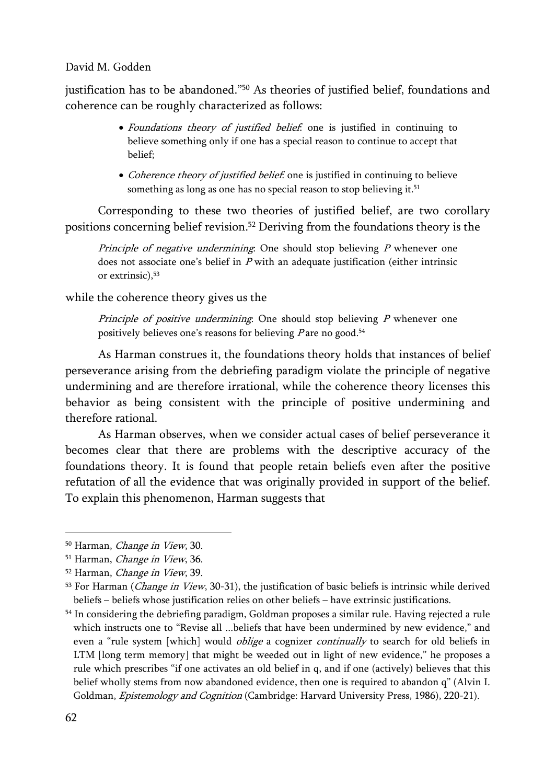justification has to be abandoned."50 As theories of justified belief, foundations and coherence can be roughly characterized as follows:

- Foundations theory of justified belief, one is justified in continuing to believe something only if one has a special reason to continue to accept that belief;
- Coherence theory of justified belief. one is justified in continuing to believe something as long as one has no special reason to stop believing it.<sup>51</sup>

Corresponding to these two theories of justified belief, are two corollary positions concerning belief revision.52 Deriving from the foundations theory is the

Principle of negative undermining: One should stop believing  $P$  whenever one does not associate one's belief in  $P$  with an adequate justification (either intrinsic or extrinsic), 53

## while the coherence theory gives us the

Principle of positive undermining: One should stop believing  $P$  whenever one positively believes one's reasons for believing  $P$  are no good.<sup>54</sup>

As Harman construes it, the foundations theory holds that instances of belief perseverance arising from the debriefing paradigm violate the principle of negative undermining and are therefore irrational, while the coherence theory licenses this behavior as being consistent with the principle of positive undermining and therefore rational.

As Harman observes, when we consider actual cases of belief perseverance it becomes clear that there are problems with the descriptive accuracy of the foundations theory. It is found that people retain beliefs even after the positive refutation of all the evidence that was originally provided in support of the belief. To explain this phenomenon, Harman suggests that

<sup>50</sup> Harman, Change in View, 30.

<sup>&</sup>lt;sup>51</sup> Harman, *Change in View*, 36.

<sup>52</sup> Harman, Change in View, 39.

 $53$  For Harman (*Change in View*, 30-31), the justification of basic beliefs is intrinsic while derived beliefs – beliefs whose justification relies on other beliefs – have extrinsic justifications.

<sup>54</sup> In considering the debriefing paradigm, Goldman proposes a similar rule. Having rejected a rule which instructs one to "Revise all ...beliefs that have been undermined by new evidence," and even a "rule system [which] would *oblige* a cognizer *continually* to search for old beliefs in LTM [long term memory] that might be weeded out in light of new evidence," he proposes a rule which prescribes "if one activates an old belief in q, and if one (actively) believes that this belief wholly stems from now abandoned evidence, then one is required to abandon q" (Alvin I. Goldman, Epistemology and Cognition (Cambridge: Harvard University Press, 1986), 220-21).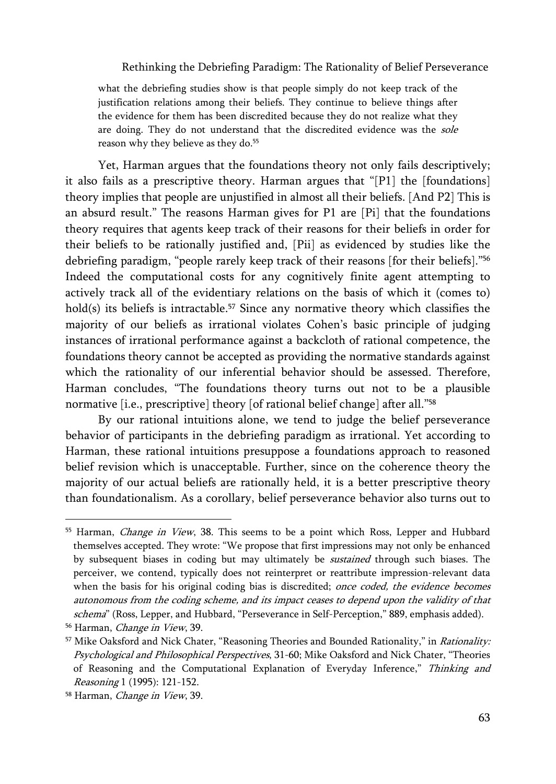what the debriefing studies show is that people simply do not keep track of the justification relations among their beliefs. They continue to believe things after the evidence for them has been discredited because they do not realize what they are doing. They do not understand that the discredited evidence was the sole reason why they believe as they do.<sup>55</sup>

Yet, Harman argues that the foundations theory not only fails descriptively; it also fails as a prescriptive theory. Harman argues that "[P1] the [foundations] theory implies that people are unjustified in almost all their beliefs. [And P2] This is an absurd result." The reasons Harman gives for P1 are [Pi] that the foundations theory requires that agents keep track of their reasons for their beliefs in order for their beliefs to be rationally justified and, [Pii] as evidenced by studies like the debriefing paradigm, "people rarely keep track of their reasons [for their beliefs]."56 Indeed the computational costs for any cognitively finite agent attempting to actively track all of the evidentiary relations on the basis of which it (comes to) hold(s) its beliefs is intractable.<sup>57</sup> Since any normative theory which classifies the majority of our beliefs as irrational violates Cohen's basic principle of judging instances of irrational performance against a backcloth of rational competence, the foundations theory cannot be accepted as providing the normative standards against which the rationality of our inferential behavior should be assessed. Therefore, Harman concludes, "The foundations theory turns out not to be a plausible normative [i.e., prescriptive] theory [of rational belief change] after all."<sup>58</sup>

By our rational intuitions alone, we tend to judge the belief perseverance behavior of participants in the debriefing paradigm as irrational. Yet according to Harman, these rational intuitions presuppose a foundations approach to reasoned belief revision which is unacceptable. Further, since on the coherence theory the majority of our actual beliefs are rationally held, it is a better prescriptive theory than foundationalism. As a corollary, belief perseverance behavior also turns out to

<sup>&</sup>lt;sup>55</sup> Harman, *Change in View*, 38. This seems to be a point which Ross, Lepper and Hubbard themselves accepted. They wrote: "We propose that first impressions may not only be enhanced by subsequent biases in coding but may ultimately be *sustained* through such biases. The perceiver, we contend, typically does not reinterpret or reattribute impression-relevant data when the basis for his original coding bias is discredited; once coded, the evidence becomes autonomous from the coding scheme, and its impact ceases to depend upon the validity of that schema" (Ross, Lepper, and Hubbard, "Perseverance in Self-Perception," 889, emphasis added).

<sup>&</sup>lt;sup>56</sup> Harman, *Change in View*, 39.

<sup>&</sup>lt;sup>57</sup> Mike Oaksford and Nick Chater, "Reasoning Theories and Bounded Rationality," in *Rationality:* Psychological and Philosophical Perspectives, 31-60; Mike Oaksford and Nick Chater, "Theories of Reasoning and the Computational Explanation of Everyday Inference," Thinking and Reasoning 1 (1995): 121-152.

<sup>58</sup> Harman, Change in View, 39.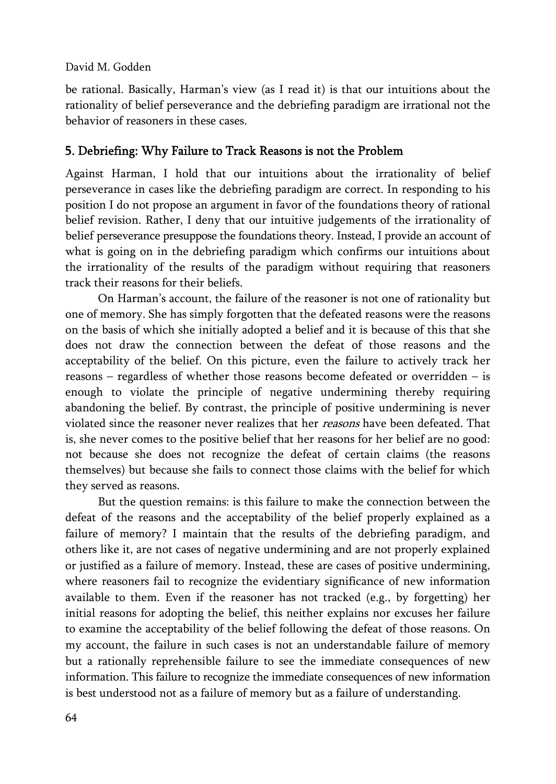be rational. Basically, Harman's view (as I read it) is that our intuitions about the rationality of belief perseverance and the debriefing paradigm are irrational not the behavior of reasoners in these cases.

# 5. Debriefing: Why Failure to Track Reasons is not the Problem

Against Harman, I hold that our intuitions about the irrationality of belief perseverance in cases like the debriefing paradigm are correct. In responding to his position I do not propose an argument in favor of the foundations theory of rational belief revision. Rather, I deny that our intuitive judgements of the irrationality of belief perseverance presuppose the foundations theory. Instead, I provide an account of what is going on in the debriefing paradigm which confirms our intuitions about the irrationality of the results of the paradigm without requiring that reasoners track their reasons for their beliefs.

On Harman's account, the failure of the reasoner is not one of rationality but one of memory. She has simply forgotten that the defeated reasons were the reasons on the basis of which she initially adopted a belief and it is because of this that she does not draw the connection between the defeat of those reasons and the acceptability of the belief. On this picture, even the failure to actively track her reasons – regardless of whether those reasons become defeated or overridden – is enough to violate the principle of negative undermining thereby requiring abandoning the belief. By contrast, the principle of positive undermining is never violated since the reasoner never realizes that her reasons have been defeated. That is, she never comes to the positive belief that her reasons for her belief are no good: not because she does not recognize the defeat of certain claims (the reasons themselves) but because she fails to connect those claims with the belief for which they served as reasons.

But the question remains: is this failure to make the connection between the defeat of the reasons and the acceptability of the belief properly explained as a failure of memory? I maintain that the results of the debriefing paradigm, and others like it, are not cases of negative undermining and are not properly explained or justified as a failure of memory. Instead, these are cases of positive undermining, where reasoners fail to recognize the evidentiary significance of new information available to them. Even if the reasoner has not tracked (e.g., by forgetting) her initial reasons for adopting the belief, this neither explains nor excuses her failure to examine the acceptability of the belief following the defeat of those reasons. On my account, the failure in such cases is not an understandable failure of memory but a rationally reprehensible failure to see the immediate consequences of new information. This failure to recognize the immediate consequences of new information is best understood not as a failure of memory but as a failure of understanding.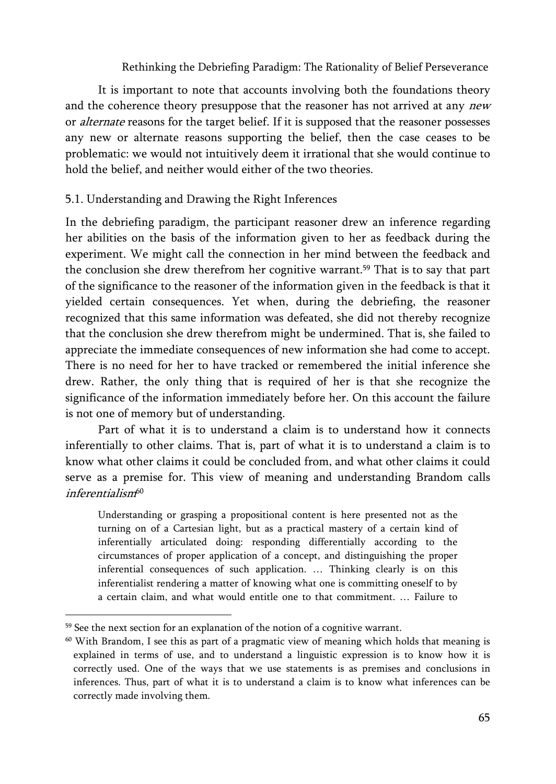It is important to note that accounts involving both the foundations theory and the coherence theory presuppose that the reasoner has not arrived at any new or *alternate* reasons for the target belief. If it is supposed that the reasoner possesses any new or alternate reasons supporting the belief, then the case ceases to be problematic: we would not intuitively deem it irrational that she would continue to hold the belief, and neither would either of the two theories.

## 5.1. Understanding and Drawing the Right Inferences

In the debriefing paradigm, the participant reasoner drew an inference regarding her abilities on the basis of the information given to her as feedback during the experiment. We might call the connection in her mind between the feedback and the conclusion she drew therefrom her cognitive warrant.59 That is to say that part of the significance to the reasoner of the information given in the feedback is that it yielded certain consequences. Yet when, during the debriefing, the reasoner recognized that this same information was defeated, she did not thereby recognize that the conclusion she drew therefrom might be undermined. That is, she failed to appreciate the immediate consequences of new information she had come to accept. There is no need for her to have tracked or remembered the initial inference she drew. Rather, the only thing that is required of her is that she recognize the significance of the information immediately before her. On this account the failure is not one of memory but of understanding.

Part of what it is to understand a claim is to understand how it connects inferentially to other claims. That is, part of what it is to understand a claim is to know what other claims it could be concluded from, and what other claims it could serve as a premise for. This view of meaning and understanding Brandom calls inferentialism<sup>60</sup>

Understanding or grasping a propositional content is here presented not as the turning on of a Cartesian light, but as a practical mastery of a certain kind of inferentially articulated doing: responding differentially according to the circumstances of proper application of a concept, and distinguishing the proper inferential consequences of such application. … Thinking clearly is on this inferentialist rendering a matter of knowing what one is committing oneself to by a certain claim, and what would entitle one to that commitment. … Failure to

<sup>&</sup>lt;sup>59</sup> See the next section for an explanation of the notion of a cognitive warrant.

 $60$  With Brandom, I see this as part of a pragmatic view of meaning which holds that meaning is explained in terms of use, and to understand a linguistic expression is to know how it is correctly used. One of the ways that we use statements is as premises and conclusions in inferences. Thus, part of what it is to understand a claim is to know what inferences can be correctly made involving them.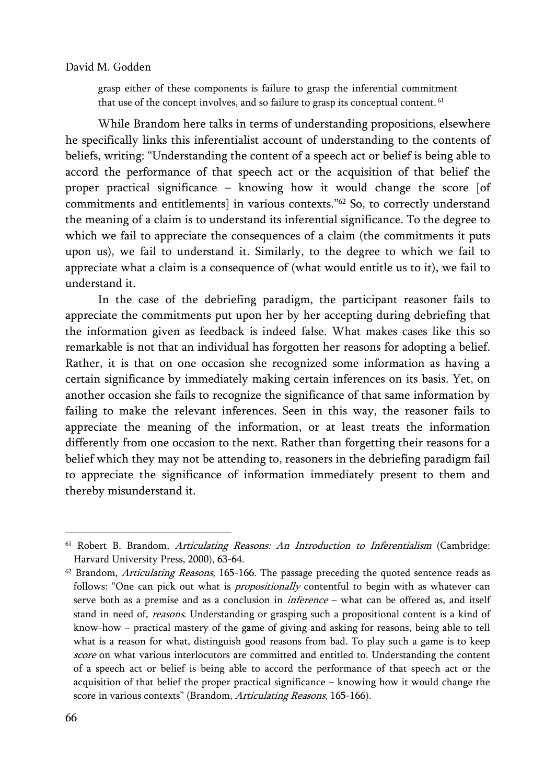grasp either of these components is failure to grasp the inferential commitment that use of the concept involves, and so failure to grasp its conceptual content. 61

While Brandom here talks in terms of understanding propositions, elsewhere he specifically links this inferentialist account of understanding to the contents of beliefs, writing: "Understanding the content of a speech act or belief is being able to accord the performance of that speech act or the acquisition of that belief the proper practical significance – knowing how it would change the score [of commitments and entitlements] in various contexts."62 So, to correctly understand the meaning of a claim is to understand its inferential significance. To the degree to which we fail to appreciate the consequences of a claim (the commitments it puts upon us), we fail to understand it. Similarly, to the degree to which we fail to appreciate what a claim is a consequence of (what would entitle us to it), we fail to understand it.

In the case of the debriefing paradigm, the participant reasoner fails to appreciate the commitments put upon her by her accepting during debriefing that the information given as feedback is indeed false. What makes cases like this so remarkable is not that an individual has forgotten her reasons for adopting a belief. Rather, it is that on one occasion she recognized some information as having a certain significance by immediately making certain inferences on its basis. Yet, on another occasion she fails to recognize the significance of that same information by failing to make the relevant inferences. Seen in this way, the reasoner fails to appreciate the meaning of the information, or at least treats the information differently from one occasion to the next. Rather than forgetting their reasons for a belief which they may not be attending to, reasoners in the debriefing paradigm fail to appreciate the significance of information immediately present to them and thereby misunderstand it.

<sup>&</sup>lt;sup>61</sup> Robert B. Brandom, Articulating Reasons: An Introduction to Inferentialism (Cambridge: Harvard University Press, 2000), 63-64.

 $62$  Brandom, Articulating Reasons, 165-166. The passage preceding the quoted sentence reads as follows: "One can pick out what is *propositionally* contentful to begin with as whatever can serve both as a premise and as a conclusion in *inference* - what can be offered as, and itself stand in need of, reasons. Understanding or grasping such a propositional content is a kind of know-how – practical mastery of the game of giving and asking for reasons, being able to tell what is a reason for what, distinguish good reasons from bad. To play such a game is to keep score on what various interlocutors are committed and entitled to. Understanding the content of a speech act or belief is being able to accord the performance of that speech act or the acquisition of that belief the proper practical significance – knowing how it would change the score in various contexts" (Brandom, Articulating Reasons, 165-166).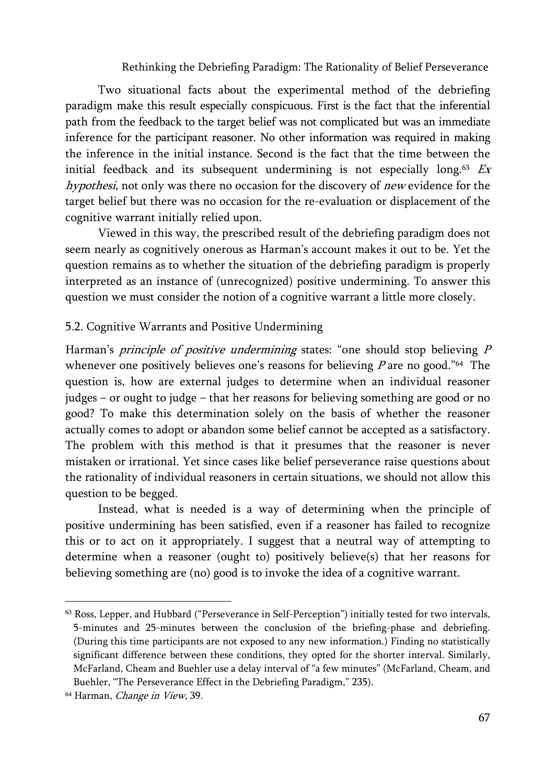Two situational facts about the experimental method of the debriefing paradigm make this result especially conspicuous. First is the fact that the inferential path from the feedback to the target belief was not complicated but was an immediate inference for the participant reasoner. No other information was required in making the inference in the initial instance. Second is the fact that the time between the initial feedback and its subsequent undermining is not especially long.<sup>63</sup> Ex hypothesi, not only was there no occasion for the discovery of new evidence for the target belief but there was no occasion for the re-evaluation or displacement of the cognitive warrant initially relied upon.

Viewed in this way, the prescribed result of the debriefing paradigm does not seem nearly as cognitively onerous as Harman's account makes it out to be. Yet the question remains as to whether the situation of the debriefing paradigm is properly interpreted as an instance of (unrecognized) positive undermining. To answer this question we must consider the notion of a cognitive warrant a little more closely.

#### 5.2. Cognitive Warrants and Positive Undermining

Harman's *principle of positive undermining* states: "one should stop believing P whenever one positively believes one's reasons for believing  $P$  are no good."<sup>64</sup> The question is, how are external judges to determine when an individual reasoner judges – or ought to judge – that her reasons for believing something are good or no good? To make this determination solely on the basis of whether the reasoner actually comes to adopt or abandon some belief cannot be accepted as a satisfactory. The problem with this method is that it presumes that the reasoner is never mistaken or irrational. Yet since cases like belief perseverance raise questions about the rationality of individual reasoners in certain situations, we should not allow this question to be begged.

Instead, what is needed is a way of determining when the principle of positive undermining has been satisfied, even if a reasoner has failed to recognize this or to act on it appropriately. I suggest that a neutral way of attempting to determine when a reasoner (ought to) positively believe(s) that her reasons for believing something are (no) good is to invoke the idea of a cognitive warrant.

<sup>63</sup> Ross, Lepper, and Hubbard ("Perseverance in Self-Perception") initially tested for two intervals, 5-minutes and 25-minutes between the conclusion of the briefing-phase and debriefing. (During this time participants are not exposed to any new information.) Finding no statistically significant difference between these conditions, they opted for the shorter interval. Similarly, McFarland, Cheam and Buehler use a delay interval of "a few minutes" (McFarland, Cheam, and Buehler, "The Perseverance Effect in the Debriefing Paradigm," 235).

<sup>&</sup>lt;sup>64</sup> Harman, *Change in View*, 39.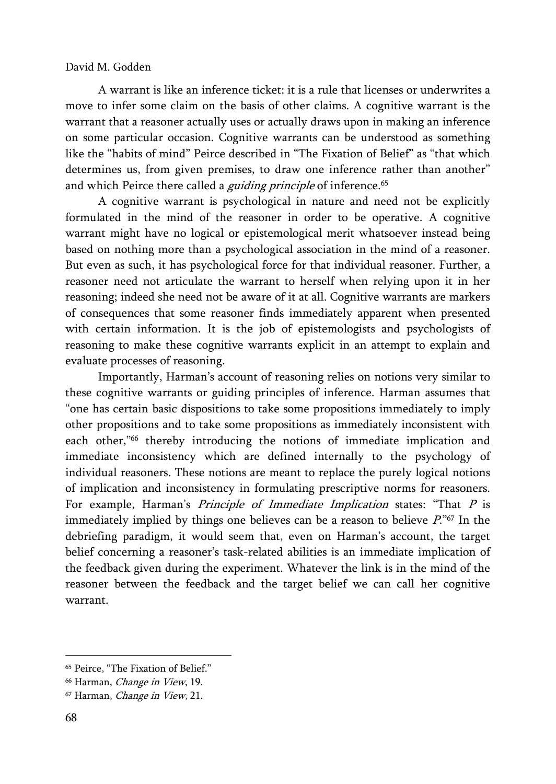A warrant is like an inference ticket: it is a rule that licenses or underwrites a move to infer some claim on the basis of other claims. A cognitive warrant is the warrant that a reasoner actually uses or actually draws upon in making an inference on some particular occasion. Cognitive warrants can be understood as something like the "habits of mind" Peirce described in "The Fixation of Belief" as "that which determines us, from given premises, to draw one inference rather than another" and which Peirce there called a *guiding principle* of inference.<sup>65</sup>

A cognitive warrant is psychological in nature and need not be explicitly formulated in the mind of the reasoner in order to be operative. A cognitive warrant might have no logical or epistemological merit whatsoever instead being based on nothing more than a psychological association in the mind of a reasoner. But even as such, it has psychological force for that individual reasoner. Further, a reasoner need not articulate the warrant to herself when relying upon it in her reasoning; indeed she need not be aware of it at all. Cognitive warrants are markers of consequences that some reasoner finds immediately apparent when presented with certain information. It is the job of epistemologists and psychologists of reasoning to make these cognitive warrants explicit in an attempt to explain and evaluate processes of reasoning.

Importantly, Harman's account of reasoning relies on notions very similar to these cognitive warrants or guiding principles of inference. Harman assumes that "one has certain basic dispositions to take some propositions immediately to imply other propositions and to take some propositions as immediately inconsistent with each other,"<sup>66</sup> thereby introducing the notions of immediate implication and immediate inconsistency which are defined internally to the psychology of individual reasoners. These notions are meant to replace the purely logical notions of implication and inconsistency in formulating prescriptive norms for reasoners. For example, Harman's Principle of Immediate Implication states: "That P is immediately implied by things one believes can be a reason to believe  $P^{\prime\prime\prime}$ . In the debriefing paradigm, it would seem that, even on Harman's account, the target belief concerning a reasoner's task-related abilities is an immediate implication of the feedback given during the experiment. Whatever the link is in the mind of the reasoner between the feedback and the target belief we can call her cognitive warrant.

<sup>65</sup> Peirce, "The Fixation of Belief."

<sup>&</sup>lt;sup>66</sup> Harman, *Change in View*, 19.

<sup>67</sup> Harman, Change in View, 21.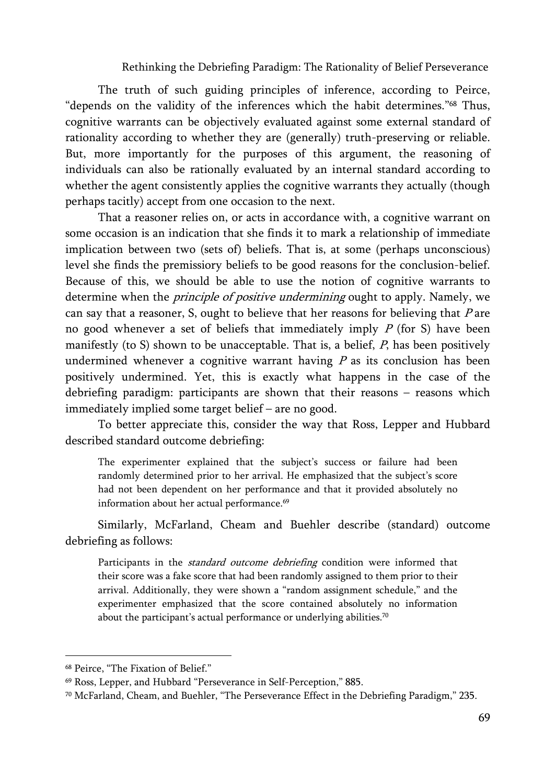The truth of such guiding principles of inference, according to Peirce, "depends on the validity of the inferences which the habit determines."68 Thus, cognitive warrants can be objectively evaluated against some external standard of rationality according to whether they are (generally) truth-preserving or reliable. But, more importantly for the purposes of this argument, the reasoning of individuals can also be rationally evaluated by an internal standard according to whether the agent consistently applies the cognitive warrants they actually (though perhaps tacitly) accept from one occasion to the next.

That a reasoner relies on, or acts in accordance with, a cognitive warrant on some occasion is an indication that she finds it to mark a relationship of immediate implication between two (sets of) beliefs. That is, at some (perhaps unconscious) level she finds the premissiory beliefs to be good reasons for the conclusion-belief. Because of this, we should be able to use the notion of cognitive warrants to determine when the *principle of positive undermining* ought to apply. Namely, we can say that a reasoner, S, ought to believe that her reasons for believing that  $P$  are no good whenever a set of beliefs that immediately imply  $P$  (for S) have been manifestly (to S) shown to be unacceptable. That is, a belief,  $P$ , has been positively undermined whenever a cognitive warrant having  $P$  as its conclusion has been positively undermined. Yet, this is exactly what happens in the case of the debriefing paradigm: participants are shown that their reasons – reasons which immediately implied some target belief – are no good.

To better appreciate this, consider the way that Ross, Lepper and Hubbard described standard outcome debriefing:

The experimenter explained that the subject's success or failure had been randomly determined prior to her arrival. He emphasized that the subject's score had not been dependent on her performance and that it provided absolutely no information about her actual performance.<sup>69</sup>

Similarly, McFarland, Cheam and Buehler describe (standard) outcome debriefing as follows:

Participants in the *standard outcome debriefing* condition were informed that their score was a fake score that had been randomly assigned to them prior to their arrival. Additionally, they were shown a "random assignment schedule," and the experimenter emphasized that the score contained absolutely no information about the participant's actual performance or underlying abilities.<sup>70</sup>

<sup>68</sup> Peirce, "The Fixation of Belief."

<sup>69</sup> Ross, Lepper, and Hubbard "Perseverance in Self-Perception," 885.

 $70$  McFarland, Cheam, and Buehler, "The Perseverance Effect in the Debriefing Paradigm," 235.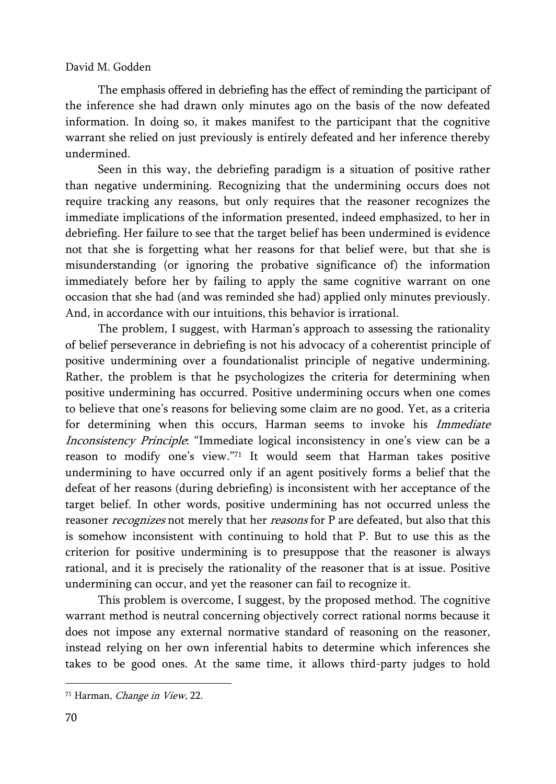The emphasis offered in debriefing has the effect of reminding the participant of the inference she had drawn only minutes ago on the basis of the now defeated information. In doing so, it makes manifest to the participant that the cognitive warrant she relied on just previously is entirely defeated and her inference thereby undermined.

Seen in this way, the debriefing paradigm is a situation of positive rather than negative undermining. Recognizing that the undermining occurs does not require tracking any reasons, but only requires that the reasoner recognizes the immediate implications of the information presented, indeed emphasized, to her in debriefing. Her failure to see that the target belief has been undermined is evidence not that she is forgetting what her reasons for that belief were, but that she is misunderstanding (or ignoring the probative significance of) the information immediately before her by failing to apply the same cognitive warrant on one occasion that she had (and was reminded she had) applied only minutes previously. And, in accordance with our intuitions, this behavior is irrational.

The problem, I suggest, with Harman's approach to assessing the rationality of belief perseverance in debriefing is not his advocacy of a coherentist principle of positive undermining over a foundationalist principle of negative undermining. Rather, the problem is that he psychologizes the criteria for determining when positive undermining has occurred. Positive undermining occurs when one comes to believe that one's reasons for believing some claim are no good. Yet, as a criteria for determining when this occurs, Harman seems to invoke his *Immediate* Inconsistency Principle: "Immediate logical inconsistency in one's view can be a reason to modify one's view."71 It would seem that Harman takes positive undermining to have occurred only if an agent positively forms a belief that the defeat of her reasons (during debriefing) is inconsistent with her acceptance of the target belief. In other words, positive undermining has not occurred unless the reasoner *recognizes* not merely that her *reasons* for P are defeated, but also that this is somehow inconsistent with continuing to hold that P. But to use this as the criterion for positive undermining is to presuppose that the reasoner is always rational, and it is precisely the rationality of the reasoner that is at issue. Positive undermining can occur, and yet the reasoner can fail to recognize it.

This problem is overcome, I suggest, by the proposed method. The cognitive warrant method is neutral concerning objectively correct rational norms because it does not impose any external normative standard of reasoning on the reasoner, instead relying on her own inferential habits to determine which inferences she takes to be good ones. At the same time, it allows third-party judges to hold

<sup>71</sup> Harman, Change in View, 22.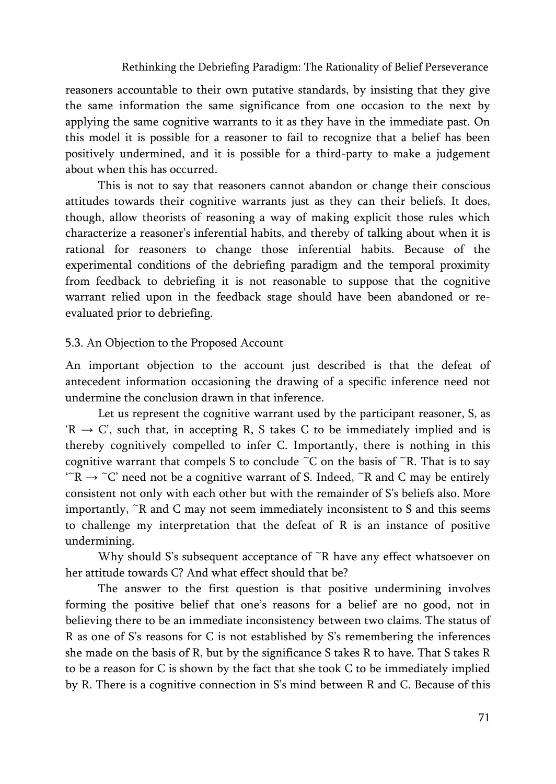reasoners accountable to their own putative standards, by insisting that they give the same information the same significance from one occasion to the next by applying the same cognitive warrants to it as they have in the immediate past. On this model it is possible for a reasoner to fail to recognize that a belief has been positively undermined, and it is possible for a third-party to make a judgement about when this has occurred.

This is not to say that reasoners cannot abandon or change their conscious attitudes towards their cognitive warrants just as they can their beliefs. It does, though, allow theorists of reasoning a way of making explicit those rules which characterize a reasoner's inferential habits, and thereby of talking about when it is rational for reasoners to change those inferential habits. Because of the experimental conditions of the debriefing paradigm and the temporal proximity from feedback to debriefing it is not reasonable to suppose that the cognitive warrant relied upon in the feedback stage should have been abandoned or reevaluated prior to debriefing.

#### 5.3. An Objection to the Proposed Account

An important objection to the account just described is that the defeat of antecedent information occasioning the drawing of a specific inference need not undermine the conclusion drawn in that inference.

Let us represent the cognitive warrant used by the participant reasoner, S, as  $R \rightarrow C'$ , such that, in accepting R, S takes C to be immediately implied and is thereby cognitively compelled to infer C. Importantly, there is nothing in this cognitive warrant that compels S to conclude  $\tilde{C}$  on the basis of  $\tilde{C}$ R. That is to say  $\Gamma^*R \to \Gamma^*C$ ' need not be a cognitive warrant of S. Indeed,  $\Gamma^*R$  and C may be entirely consistent not only with each other but with the remainder of S's beliefs also. More importantly,  $\tilde{R}$  and  $\tilde{C}$  may not seem immediately inconsistent to  $S$  and this seems to challenge my interpretation that the defeat of R is an instance of positive undermining.

Why should S's subsequent acceptance of  $\tilde{R}$  have any effect whatsoever on her attitude towards C? And what effect should that be?

The answer to the first question is that positive undermining involves forming the positive belief that one's reasons for a belief are no good, not in believing there to be an immediate inconsistency between two claims. The status of R as one of S's reasons for C is not established by S's remembering the inferences she made on the basis of R, but by the significance S takes R to have. That S takes R to be a reason for C is shown by the fact that she took C to be immediately implied by R. There is a cognitive connection in S's mind between R and C. Because of this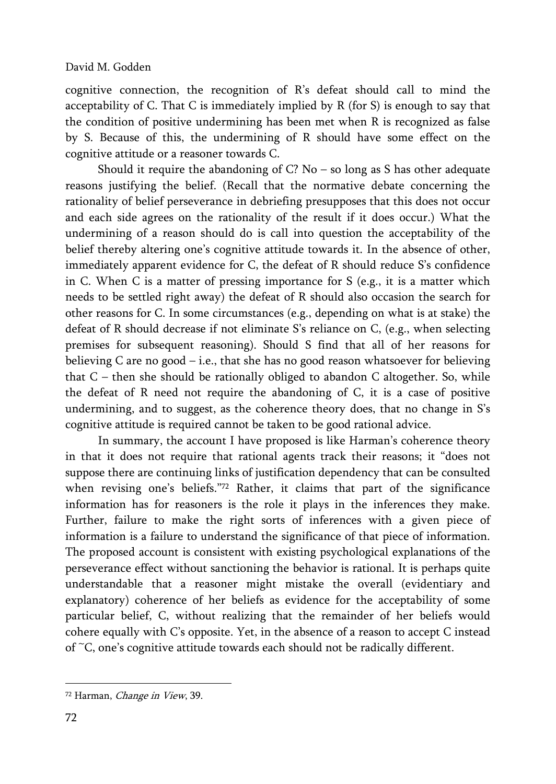cognitive connection, the recognition of R's defeat should call to mind the acceptability of C. That C is immediately implied by R (for S) is enough to say that the condition of positive undermining has been met when R is recognized as false by S. Because of this, the undermining of R should have some effect on the cognitive attitude or a reasoner towards C.

Should it require the abandoning of  $C$ ? No – so long as S has other adequate reasons justifying the belief. (Recall that the normative debate concerning the rationality of belief perseverance in debriefing presupposes that this does not occur and each side agrees on the rationality of the result if it does occur.) What the undermining of a reason should do is call into question the acceptability of the belief thereby altering one's cognitive attitude towards it. In the absence of other, immediately apparent evidence for C, the defeat of R should reduce S's confidence in C. When C is a matter of pressing importance for S (e.g., it is a matter which needs to be settled right away) the defeat of R should also occasion the search for other reasons for C. In some circumstances (e.g., depending on what is at stake) the defeat of R should decrease if not eliminate S's reliance on C, (e.g., when selecting premises for subsequent reasoning). Should S find that all of her reasons for believing C are no good – i.e., that she has no good reason whatsoever for believing that  $C$  – then she should be rationally obliged to abandon  $C$  altogether. So, while the defeat of R need not require the abandoning of C, it is a case of positive undermining, and to suggest, as the coherence theory does, that no change in S's cognitive attitude is required cannot be taken to be good rational advice.

In summary, the account I have proposed is like Harman's coherence theory in that it does not require that rational agents track their reasons; it "does not suppose there are continuing links of justification dependency that can be consulted when revising one's beliefs."72 Rather, it claims that part of the significance information has for reasoners is the role it plays in the inferences they make. Further, failure to make the right sorts of inferences with a given piece of information is a failure to understand the significance of that piece of information. The proposed account is consistent with existing psychological explanations of the perseverance effect without sanctioning the behavior is rational. It is perhaps quite understandable that a reasoner might mistake the overall (evidentiary and explanatory) coherence of her beliefs as evidence for the acceptability of some particular belief, C, without realizing that the remainder of her beliefs would cohere equally with C's opposite. Yet, in the absence of a reason to accept C instead of ~C, one's cognitive attitude towards each should not be radically different.

<sup>72</sup> Harman, Change in View, 39.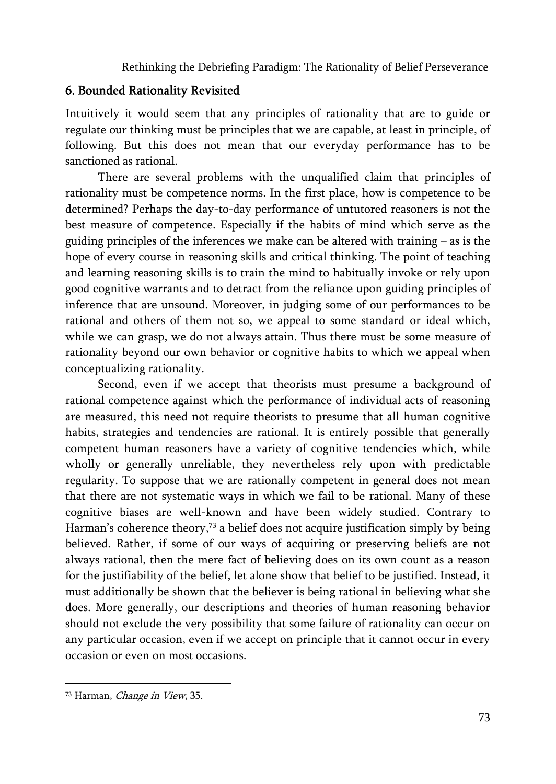## 6. Bounded Rationality Revisited

Intuitively it would seem that any principles of rationality that are to guide or regulate our thinking must be principles that we are capable, at least in principle, of following. But this does not mean that our everyday performance has to be sanctioned as rational.

There are several problems with the unqualified claim that principles of rationality must be competence norms. In the first place, how is competence to be determined? Perhaps the day-to-day performance of untutored reasoners is not the best measure of competence. Especially if the habits of mind which serve as the guiding principles of the inferences we make can be altered with training – as is the hope of every course in reasoning skills and critical thinking. The point of teaching and learning reasoning skills is to train the mind to habitually invoke or rely upon good cognitive warrants and to detract from the reliance upon guiding principles of inference that are unsound. Moreover, in judging some of our performances to be rational and others of them not so, we appeal to some standard or ideal which, while we can grasp, we do not always attain. Thus there must be some measure of rationality beyond our own behavior or cognitive habits to which we appeal when conceptualizing rationality.

Second, even if we accept that theorists must presume a background of rational competence against which the performance of individual acts of reasoning are measured, this need not require theorists to presume that all human cognitive habits, strategies and tendencies are rational. It is entirely possible that generally competent human reasoners have a variety of cognitive tendencies which, while wholly or generally unreliable, they nevertheless rely upon with predictable regularity. To suppose that we are rationally competent in general does not mean that there are not systematic ways in which we fail to be rational. Many of these cognitive biases are well-known and have been widely studied. Contrary to Harman's coherence theory,<sup>73</sup> a belief does not acquire justification simply by being believed. Rather, if some of our ways of acquiring or preserving beliefs are not always rational, then the mere fact of believing does on its own count as a reason for the justifiability of the belief, let alone show that belief to be justified. Instead, it must additionally be shown that the believer is being rational in believing what she does. More generally, our descriptions and theories of human reasoning behavior should not exclude the very possibility that some failure of rationality can occur on any particular occasion, even if we accept on principle that it cannot occur in every occasion or even on most occasions.

<sup>73</sup> Harman, Change in View, 35.